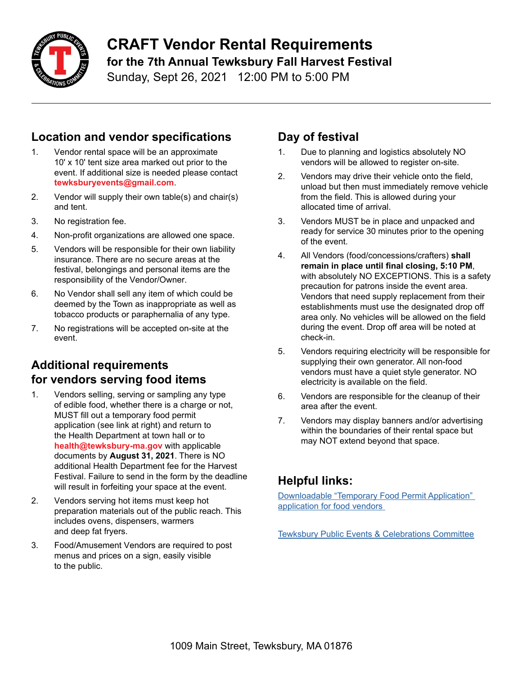

# **CRAFT Vendor Rental Requirements for the 7th Annual Tewksbury Fall Harvest Festival**

Sunday, Sept 26, 2021 12:00 PM to 5:00 PM

## **Location and vendor specifications**

- 1. Vendor rental space will be an approximate 10' x 10' tent size area marked out prior to the event. If additional size is needed please contact **tewksburyevents@gmail.com**.
- 2. Vendor will supply their own table(s) and chair(s) and tent.
- 3. No registration fee.
- 4. Non-profit organizations are allowed one space.
- 5. Vendors will be responsible for their own liability insurance. There are no secure areas at the festival, belongings and personal items are the responsibility of the Vendor/Owner.
- 6. No Vendor shall sell any item of which could be deemed by the Town as inappropriate as well as tobacco products or paraphernalia of any type.
- 7. No registrations will be accepted on-site at the event.

#### **Additional requirements for vendors serving food items**

- 1. Vendors selling, serving or sampling any type of edible food, whether there is a charge or not, MUST fill out a temporary food permit application (see link at right) and return to the Health Department at town hall or to **health@tewksbury-ma.gov** with applicable documents by **August 31, 2021**. There is NO additional Health Department fee for the Harvest Festival. Failure to send in the form by the deadline will result in forfeiting your space at the event.
- 2. Vendors serving hot items must keep hot preparation materials out of the public reach. This includes ovens, dispensers, warmers and deep fat fryers.
- 3. Food/Amusement Vendors are required to post menus and prices on a sign, easily visible to the public.

### **Day of festival**

- 1. Due to planning and logistics absolutely NO vendors will be allowed to register on-site.
- 2. Vendors may drive their vehicle onto the field, unload but then must immediately remove vehicle from the field. This is allowed during your allocated time of arrival.
- 3. Vendors MUST be in place and unpacked and ready for service 30 minutes prior to the opening of the event.
- 4. All Vendors (food/concessions/crafters) **shall remain in place until final closing, 5:10 PM**, with absolutely NO EXCEPTIONS. This is a safety precaution for patrons inside the event area. Vendors that need supply replacement from their establishments must use the designated drop off area only. No vehicles will be allowed on the field during the event. Drop off area will be noted at check-in.
- 5. Vendors requiring electricity will be responsible for supplying their own generator. All non-food vendors must have a quiet style generator. NO electricity is available on the field.
- 6. Vendors are responsible for the cleanup of their area after the event.
- 7. Vendors may display banners and/or advertising within the boundaries of their rental space but may NOT extend beyond that space.

## **Helpful links:**

[Downloadable "Temporary Food Permit Application"](https://www.tewksbury-ma.gov/sites/tewksburyma/files/file/file/application_-_temporary_food.pdf)  [application for food vendors](https://www.tewksbury-ma.gov/sites/tewksburyma/files/file/file/application_-_temporary_food.pdf) 

**[Tewksbury Public Events & Celebrations Committee](https://www.tewksbury-ma.gov/public-events-celebrations-committee)**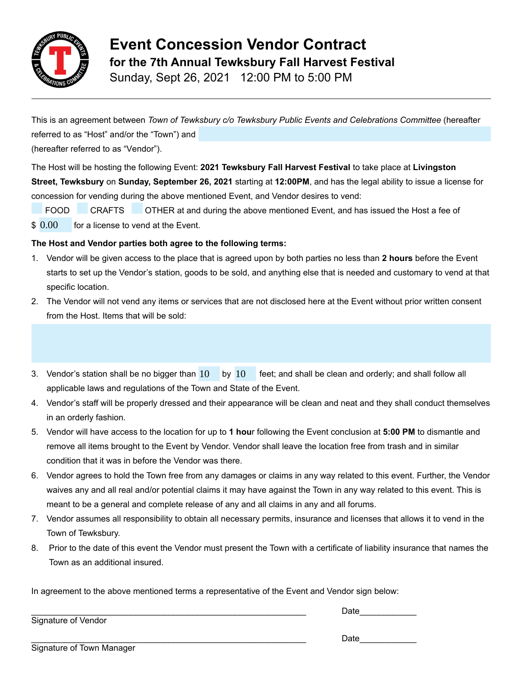

Sunday, Sept 26, 2021 12:00 PM to 5:00 PM

This is an agreement between *Town of Tewksbury c/o Tewksbury Public Events and Celebrations Committee* (hereafter referred to as "Host" and/or the "Town") and

(hereafter referred to as "Vendor").

The Host will be hosting the following Event: **2021 Tewksbury Fall Harvest Festival** to take place at **Livingston Street, Tewksbury** on **Sunday, September 26, 2021** starting at **12:00PM**, and has the legal ability to issue a license for concession for vending during the above mentioned Event, and Vendor desires to vend:

FOOD CRAFTS OTHER at and during the above mentioned Event, and has issued the Host a fee of

for a license to vend at the Event.  $$0.00$ 

#### **The Host and Vendor parties both agree to the following terms:**

- 1. Vendor will be given access to the place that is agreed upon by both parties no less than **2 hours** before the Event starts to set up the Vendor's station, goods to be sold, and anything else that is needed and customary to vend at that specific location.
- 2. The Vendor will not vend any items or services that are not disclosed here at the Event without prior written consent from the Host. Items that will be sold:
- 3. Vendor's station shall be no bigger than  $10$  by  $10$  feet; and shall be clean and orderly; and shall follow all applicable laws and regulations of the Town and State of the Event.
- 4. Vendor's staff will be properly dressed and their appearance will be clean and neat and they shall conduct themselves in an orderly fashion.
- 5. Vendor will have access to the location for up to **1 hou**r following the Event conclusion at **5:00 PM** to dismantle and remove all items brought to the Event by Vendor. Vendor shall leave the location free from trash and in similar condition that it was in before the Vendor was there.
- 6. Vendor agrees to hold the Town free from any damages or claims in any way related to this event. Further, the Vendor waives any and all real and/or potential claims it may have against the Town in any way related to this event. This is meant to be a general and complete release of any and all claims in any and all forums.
- 7. Vendor assumes all responsibility to obtain all necessary permits, insurance and licenses that allows it to vend in the Town of Tewksbury.
- 8. Prior to the date of this event the Vendor must present the Town with a certificate of liability insurance that names the Town as an additional insured.

In agreement to the above mentioned terms a representative of the Event and Vendor sign below:

Signature of Vendor

 $\Box$ ate

Signature of Town Manager

\_\_\_\_\_\_\_\_\_\_\_\_\_\_\_\_\_\_\_\_\_\_\_\_\_\_\_\_\_\_\_\_\_\_\_\_\_\_\_\_\_\_\_\_\_\_\_\_\_\_\_\_\_\_\_\_\_\_ Date\_\_\_\_\_\_\_\_\_\_\_\_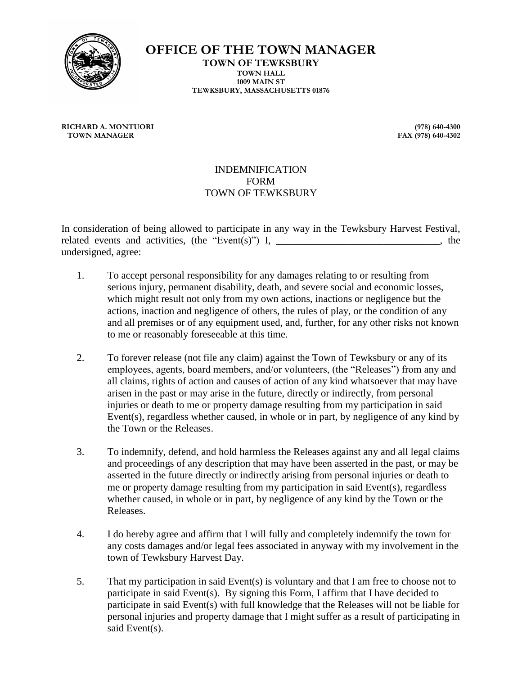

**OFFICE OF THE TOWN MANAGER TOWN OF TEWKSBURY TOWN HALL 1009 MAIN ST TEWKSBURY, MASSACHUSETTS 01876**

**RICHARD A. MONTUORI (978) 640-4300**

**FAX (978) 640-4302** 

#### INDEMNIFICATION FORM TOWN OF TEWKSBURY

In consideration of being allowed to participate in any way in the Tewksbury Harvest Festival, related events and activities, (the "Event(s)") I,  $\qquad \qquad$  , the undersigned, agree:

- 1. To accept personal responsibility for any damages relating to or resulting from serious injury, permanent disability, death, and severe social and economic losses, which might result not only from my own actions, inactions or negligence but the actions, inaction and negligence of others, the rules of play, or the condition of any and all premises or of any equipment used, and, further, for any other risks not known to me or reasonably foreseeable at this time.
- 2. To forever release (not file any claim) against the Town of Tewksbury or any of its employees, agents, board members, and/or volunteers, (the "Releases") from any and all claims, rights of action and causes of action of any kind whatsoever that may have arisen in the past or may arise in the future, directly or indirectly, from personal injuries or death to me or property damage resulting from my participation in said Event(s), regardless whether caused, in whole or in part, by negligence of any kind by the Town or the Releases.
- 3. To indemnify, defend, and hold harmless the Releases against any and all legal claims and proceedings of any description that may have been asserted in the past, or may be asserted in the future directly or indirectly arising from personal injuries or death to me or property damage resulting from my participation in said Event(s), regardless whether caused, in whole or in part, by negligence of any kind by the Town or the Releases.
- 4. I do hereby agree and affirm that I will fully and completely indemnify the town for any costs damages and/or legal fees associated in anyway with my involvement in the town of Tewksbury Harvest Day.
- 5. That my participation in said Event(s) is voluntary and that I am free to choose not to participate in said Event(s). By signing this Form, I affirm that I have decided to participate in said Event(s) with full knowledge that the Releases will not be liable for personal injuries and property damage that I might suffer as a result of participating in said Event(s).